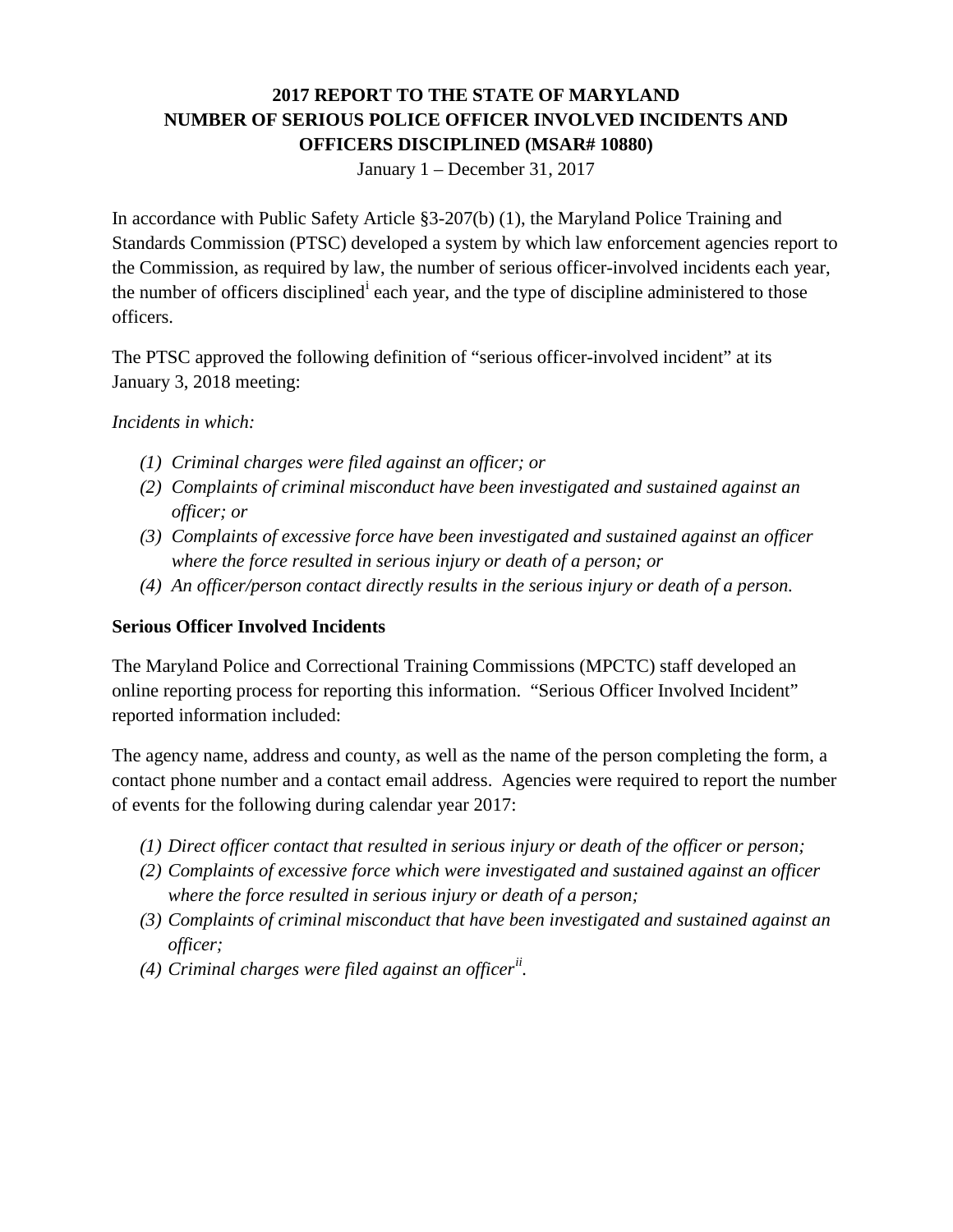# **2017 REPORT TO THE STATE OF MARYLAND NUMBER OF SERIOUS POLICE OFFICER INVOLVED INCIDENTS AND OFFICERS DISCIPLINED (MSAR# 10880)**

January 1 – December 31, 2017

In accordance with Public Safety Article §3-207(b) (1), the Maryland Police Training and Standards Commission (PTSC) developed a system by which law enforcement agencies report to the Commission, as required by law, the number of serious officer-involved incidents each year, the number of off[i](#page-2-0)cers disciplined<sup>i</sup> each year, and the type of discipline administered to those officers.

The PTSC approved the following definition of "serious officer-involved incident" at its January 3, 2018 meeting:

#### *Incidents in which:*

- *(1) Criminal charges were filed against an officer; or*
- *(2) Complaints of criminal misconduct have been investigated and sustained against an officer; or*
- *(3) Complaints of excessive force have been investigated and sustained against an officer where the force resulted in serious injury or death of a person; or*
- *(4) An officer/person contact directly results in the serious injury or death of a person.*

### **Serious Officer Involved Incidents**

The Maryland Police and Correctional Training Commissions (MPCTC) staff developed an online reporting process for reporting this information. "Serious Officer Involved Incident" reported information included:

The agency name, address and county, as well as the name of the person completing the form, a contact phone number and a contact email address. Agencies were required to report the number of events for the following during calendar year 2017:

- *(1) Direct officer contact that resulted in serious injury or death of the officer or person;*
- *(2) Complaints of excessive force which were investigated and sustained against an officer where the force resulted in serious injury or death of a person;*
- *(3) Complaints of criminal misconduct that have been investigated and sustained against an officer;*
- *(4) Criminal charges were filed against an officer[ii](#page-2-1) .*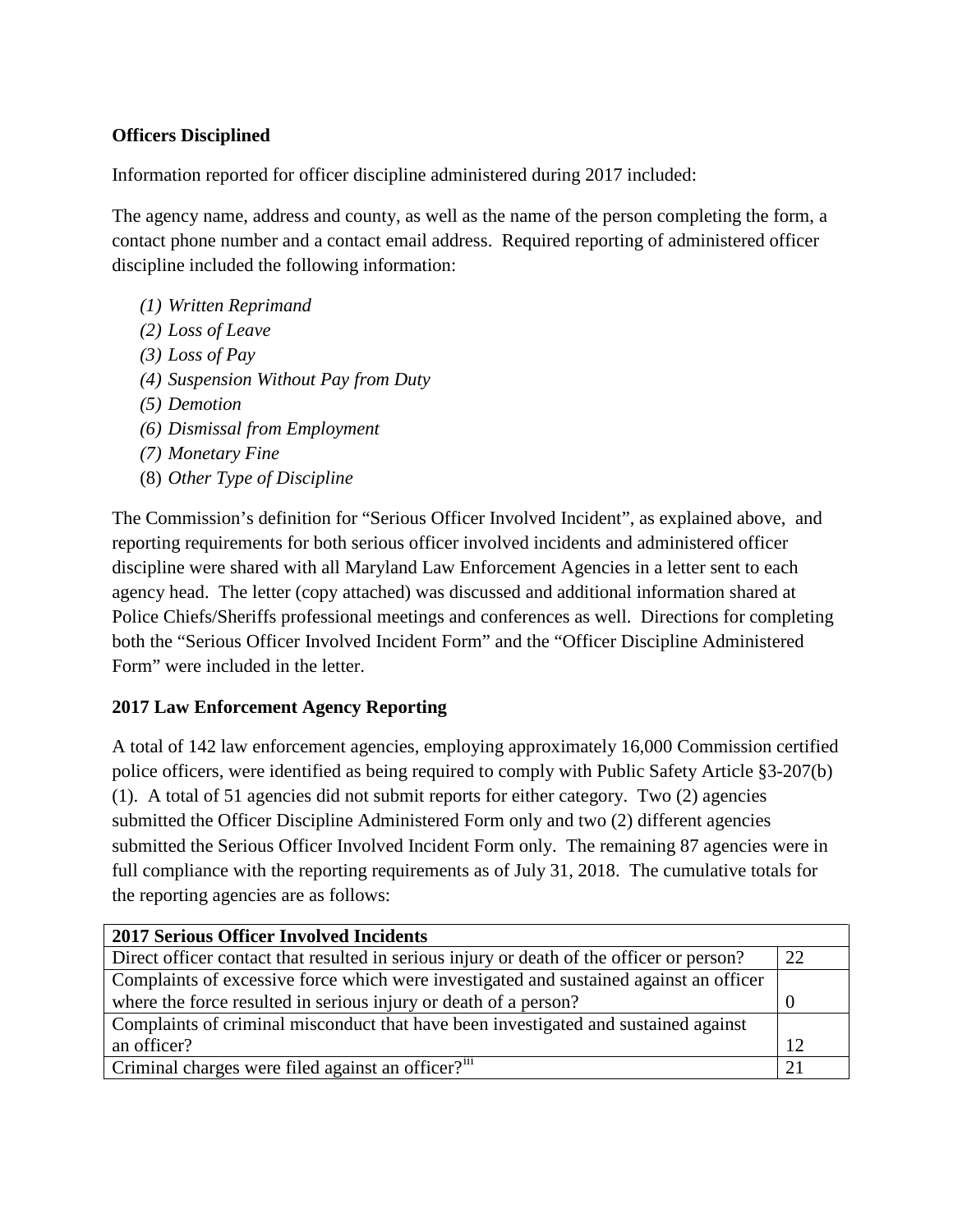## **Officers Disciplined**

Information reported for officer discipline administered during 2017 included:

The agency name, address and county, as well as the name of the person completing the form, a contact phone number and a contact email address. Required reporting of administered officer discipline included the following information:

- *(1) Written Reprimand*
- *(2) Loss of Leave*
- *(3) Loss of Pay*
- *(4) Suspension Without Pay from Duty*
- *(5) Demotion*
- *(6) Dismissal from Employment*
- *(7) Monetary Fine*
- (8) *Other Type of Discipline*

The Commission's definition for "Serious Officer Involved Incident", as explained above, and reporting requirements for both serious officer involved incidents and administered officer discipline were shared with all Maryland Law Enforcement Agencies in a letter sent to each agency head. The letter (copy attached) was discussed and additional information shared at Police Chiefs/Sheriffs professional meetings and conferences as well. Directions for completing both the "Serious Officer Involved Incident Form" and the "Officer Discipline Administered Form" were included in the letter.

### **2017 Law Enforcement Agency Reporting**

A total of 142 law enforcement agencies, employing approximately 16,000 Commission certified police officers, were identified as being required to comply with Public Safety Article §3-207(b) (1). A total of 51 agencies did not submit reports for either category. Two (2) agencies submitted the Officer Discipline Administered Form only and two (2) different agencies submitted the Serious Officer Involved Incident Form only. The remaining 87 agencies were in full compliance with the reporting requirements as of July 31, 2018. The cumulative totals for the reporting agencies are as follows:

| <b>2017 Serious Officer Involved Incidents</b>                                            |    |
|-------------------------------------------------------------------------------------------|----|
| Direct officer contact that resulted in serious injury or death of the officer or person? | 22 |
| Complaints of excessive force which were investigated and sustained against an officer    |    |
| where the force resulted in serious injury or death of a person?                          |    |
| Complaints of criminal misconduct that have been investigated and sustained against       |    |
| an officer?                                                                               | 12 |
| Criminal charges were filed against an officer? <sup>111</sup>                            |    |